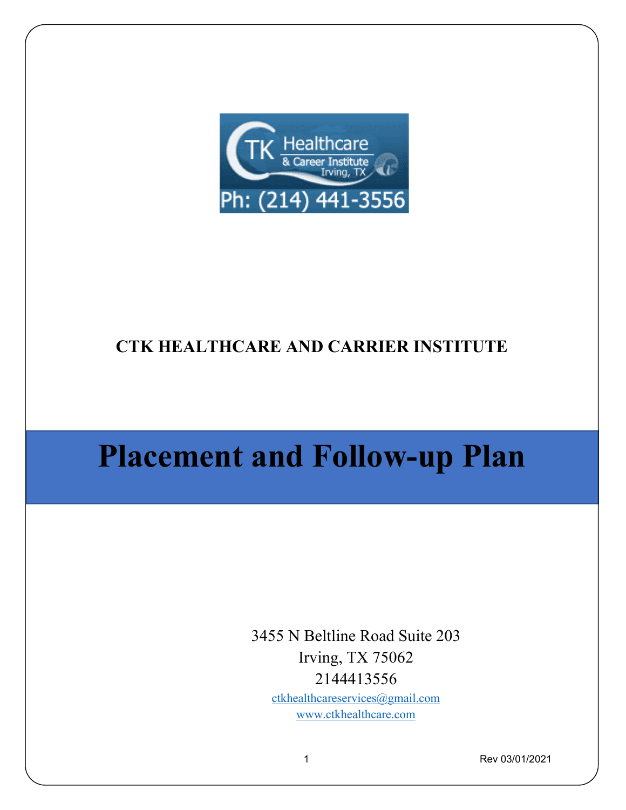

# **CTK HEALTHCARE AND CARRIER INSTITUTE**

# **Placement and Follow-up Plan**

3455 N Beltline Road Suite 203 Irving, TX 75062 2144413556

[ctkhealthcareservices@gmail.com](mailto:ctkhealthcareservices@gmail.com) [www.ctkhealthcare.com](http://www.ctkhealthcare.com/)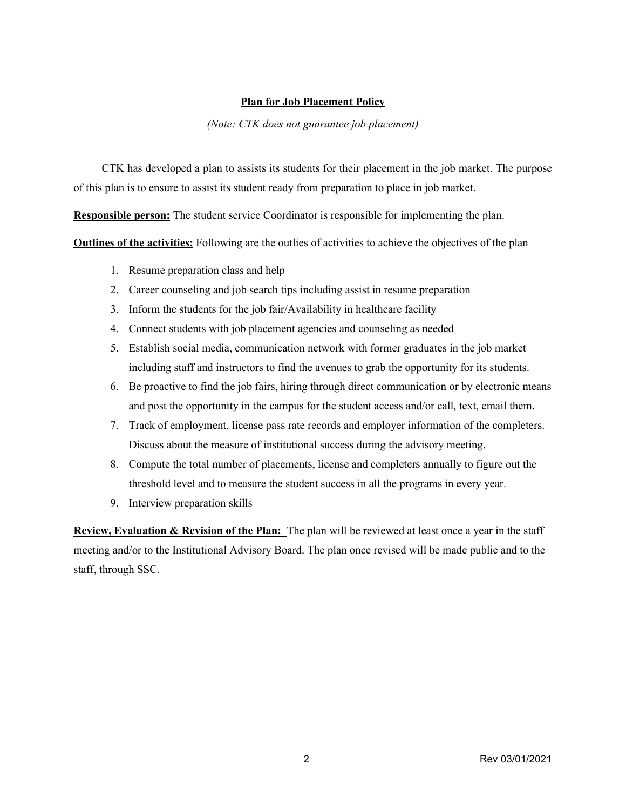#### **Plan for Job Placement Policy**

#### *(Note: CTK does not guarantee job placement)*

 CTK has developed a plan to assists its students for their placement in the job market. The purpose of this plan is to ensure to assist its student ready from preparation to place in job market.

**Responsible person:** The student service Coordinator is responsible for implementing the plan.

**Outlines of the activities:** Following are the outlies of activities to achieve the objectives of the plan

- 1. Resume preparation class and help
- 2. Career counseling and job search tips including assist in resume preparation
- 3. Inform the students for the job fair/Availability in healthcare facility
- 4. Connect students with job placement agencies and counseling as needed
- 5. Establish social media, communication network with former graduates in the job market including staff and instructors to find the avenues to grab the opportunity for its students.
- 6. Be proactive to find the job fairs, hiring through direct communication or by electronic means and post the opportunity in the campus for the student access and/or call, text, email them.
- 7. Track of employment, license pass rate records and employer information of the completers. Discuss about the measure of institutional success during the advisory meeting.
- 8. Compute the total number of placements, license and completers annually to figure out the threshold level and to measure the student success in all the programs in every year.
- 9. Interview preparation skills

**Review, Evaluation & Revision of the Plan:** The plan will be reviewed at least once a year in the staff meeting and/or to the Institutional Advisory Board. The plan once revised will be made public and to the staff, through SSC.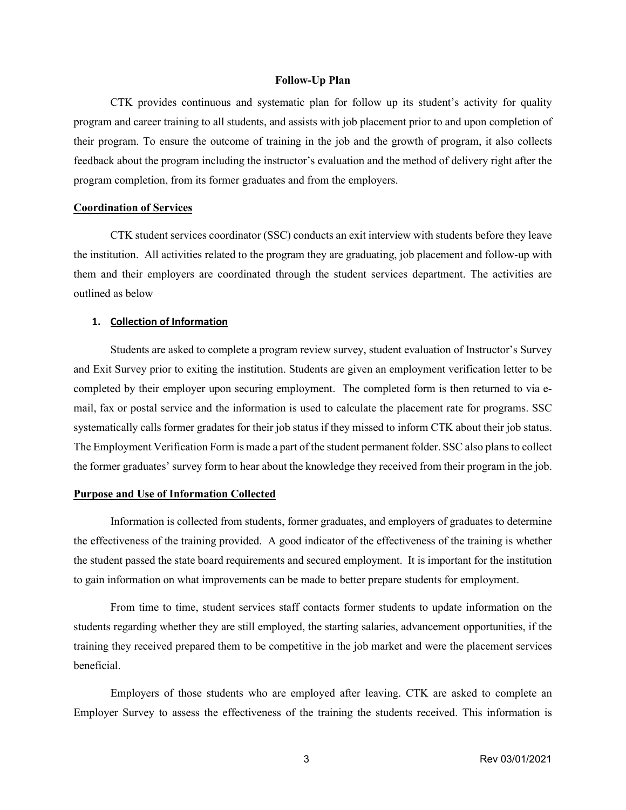#### **Follow-Up Plan**

CTK provides continuous and systematic plan for follow up its student's activity for quality program and career training to all students, and assists with job placement prior to and upon completion of their program. To ensure the outcome of training in the job and the growth of program, it also collects feedback about the program including the instructor's evaluation and the method of delivery right after the program completion, from its former graduates and from the employers.

#### **Coordination of Services**

CTK student services coordinator (SSC) conducts an exit interview with students before they leave the institution. All activities related to the program they are graduating, job placement and follow-up with them and their employers are coordinated through the student services department. The activities are outlined as below

#### **1. Collection of Information**

Students are asked to complete a program review survey, student evaluation of Instructor's Survey and Exit Survey prior to exiting the institution. Students are given an employment verification letter to be completed by their employer upon securing employment. The completed form is then returned to via email, fax or postal service and the information is used to calculate the placement rate for programs. SSC systematically calls former gradates for their job status if they missed to inform CTK about their job status. The Employment Verification Form is made a part of the student permanent folder. SSC also plans to collect the former graduates' survey form to hear about the knowledge they received from their program in the job.

#### **Purpose and Use of Information Collected**

Information is collected from students, former graduates, and employers of graduates to determine the effectiveness of the training provided. A good indicator of the effectiveness of the training is whether the student passed the state board requirements and secured employment. It is important for the institution to gain information on what improvements can be made to better prepare students for employment.

From time to time, student services staff contacts former students to update information on the students regarding whether they are still employed, the starting salaries, advancement opportunities, if the training they received prepared them to be competitive in the job market and were the placement services beneficial.

Employers of those students who are employed after leaving. CTK are asked to complete an Employer Survey to assess the effectiveness of the training the students received. This information is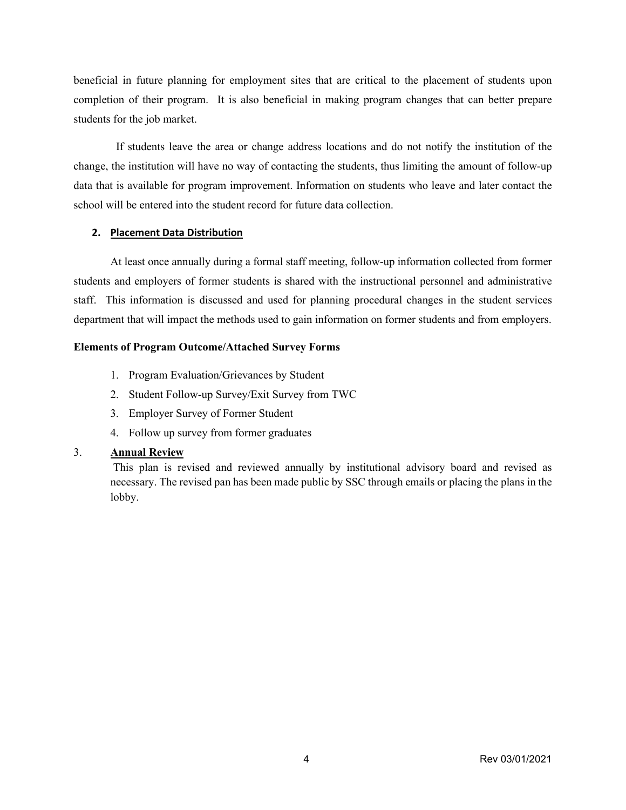beneficial in future planning for employment sites that are critical to the placement of students upon completion of their program. It is also beneficial in making program changes that can better prepare students for the job market.

 If students leave the area or change address locations and do not notify the institution of the change, the institution will have no way of contacting the students, thus limiting the amount of follow-up data that is available for program improvement. Information on students who leave and later contact the school will be entered into the student record for future data collection.

#### **2. Placement Data Distribution**

At least once annually during a formal staff meeting, follow-up information collected from former students and employers of former students is shared with the instructional personnel and administrative staff. This information is discussed and used for planning procedural changes in the student services department that will impact the methods used to gain information on former students and from employers.

#### **Elements of Program Outcome/Attached Survey Forms**

- 1. Program Evaluation/Grievances by Student
- 2. Student Follow-up Survey/Exit Survey from TWC
- 3. Employer Survey of Former Student
- 4. Follow up survey from former graduates

### 3. **Annual Review**

This plan is revised and reviewed annually by institutional advisory board and revised as necessary. The revised pan has been made public by SSC through emails or placing the plans in the lobby.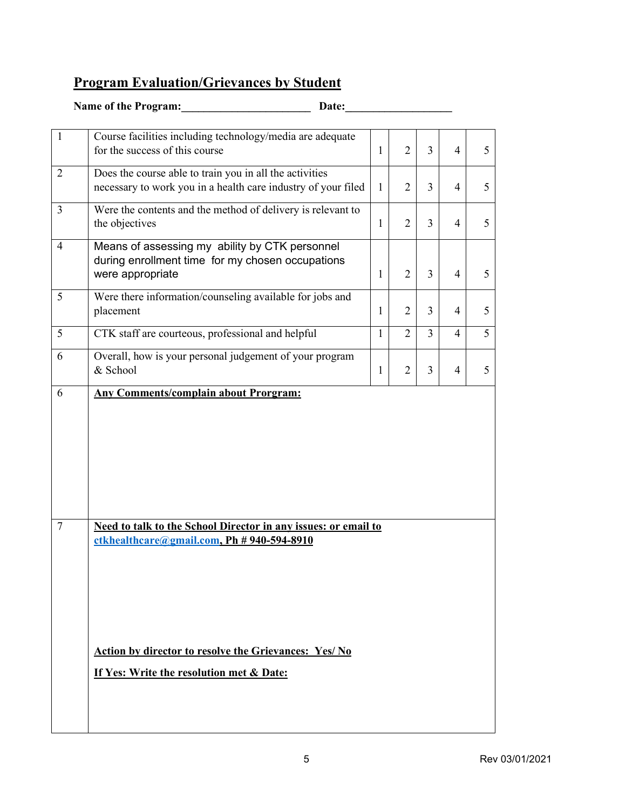## **Program Evaluation/Grievances by Student**

| Name of the Program:<br>Date: |                                                                                                                                                                                                                    |              |                |                |                |   |
|-------------------------------|--------------------------------------------------------------------------------------------------------------------------------------------------------------------------------------------------------------------|--------------|----------------|----------------|----------------|---|
| $\mathbf{1}$                  | Course facilities including technology/media are adequate                                                                                                                                                          |              |                |                |                |   |
|                               | for the success of this course                                                                                                                                                                                     | $\mathbf{1}$ | $\overline{2}$ | 3              | 4              | 5 |
| $\overline{2}$                | Does the course able to train you in all the activities<br>necessary to work you in a health care industry of your filed                                                                                           | 1            | $\overline{2}$ | 3              | $\overline{4}$ | 5 |
| 3                             | Were the contents and the method of delivery is relevant to<br>the objectives                                                                                                                                      | $\mathbf{1}$ | $\overline{2}$ | 3              | $\overline{4}$ | 5 |
| $\overline{4}$                | Means of assessing my ability by CTK personnel<br>during enrollment time for my chosen occupations<br>were appropriate                                                                                             | 1            | $\overline{2}$ | 3              | $\overline{4}$ | 5 |
| 5                             | Were there information/counseling available for jobs and<br>placement                                                                                                                                              | 1            | $\overline{2}$ | $\overline{3}$ | 4              | 5 |
| 5                             | CTK staff are courteous, professional and helpful                                                                                                                                                                  | $\mathbf{1}$ | $\overline{2}$ | $\overline{3}$ | 4              | 5 |
| 6                             | Overall, how is your personal judgement of your program<br>& School                                                                                                                                                | $\mathbf{1}$ | $\overline{2}$ | $\overline{3}$ | $\overline{4}$ | 5 |
|                               |                                                                                                                                                                                                                    |              |                |                |                |   |
| $\tau$                        | Need to talk to the School Director in any issues: or email to<br>$ctkhealthcare@gmail.com, Ph # 940-594-8910$<br>Action by director to resolve the Grievances: Yes/No<br>If Yes: Write the resolution met & Date: |              |                |                |                |   |
|                               |                                                                                                                                                                                                                    |              |                |                |                |   |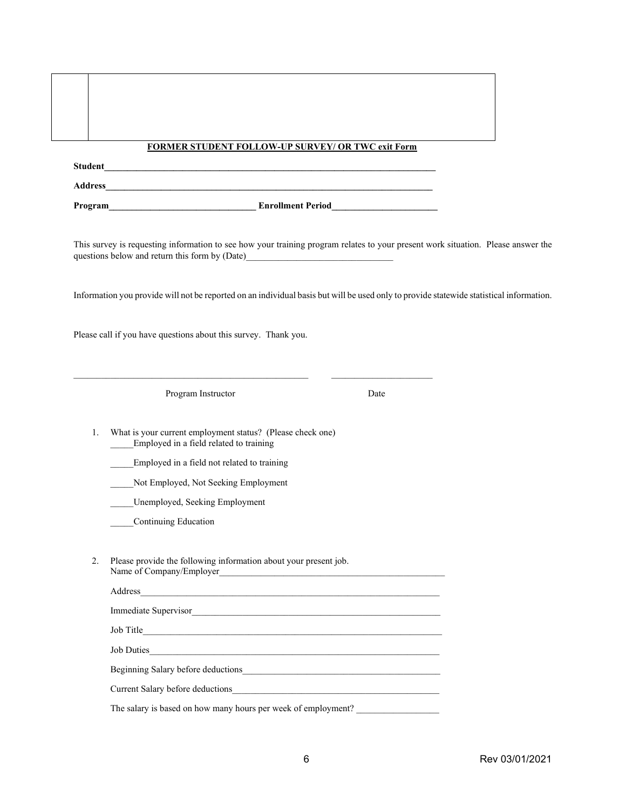|    | <b>FORMER STUDENT FOLLOW-UP SURVEY/ OR TWC exit Form</b>                                                                                                                                                                       |      |  |
|----|--------------------------------------------------------------------------------------------------------------------------------------------------------------------------------------------------------------------------------|------|--|
|    |                                                                                                                                                                                                                                |      |  |
|    |                                                                                                                                                                                                                                |      |  |
|    |                                                                                                                                                                                                                                |      |  |
|    | This survey is requesting information to see how your training program relates to your present work situation. Please answer the<br>questions below and return this form by (Date)___________________________________          |      |  |
|    | Information you provide will not be reported on an individual basis but will be used only to provide statewide statistical information.                                                                                        |      |  |
|    | Please call if you have questions about this survey. Thank you.                                                                                                                                                                |      |  |
|    | Program Instructor                                                                                                                                                                                                             | Date |  |
| 1. | What is your current employment status? (Please check one)<br>Employed in a field related to training                                                                                                                          |      |  |
|    | Employed in a field not related to training                                                                                                                                                                                    |      |  |
|    | Not Employed, Not Seeking Employment                                                                                                                                                                                           |      |  |
|    | Unemployed, Seeking Employment                                                                                                                                                                                                 |      |  |
|    | Continuing Education                                                                                                                                                                                                           |      |  |
| 2. | Please provide the following information about your present job.<br>Name of Company/Employer                                                                                                                                   |      |  |
|    |                                                                                                                                                                                                                                |      |  |
|    | Immediate Supervisor                                                                                                                                                                                                           |      |  |
|    |                                                                                                                                                                                                                                |      |  |
|    | Job Duties                                                                                                                                                                                                                     |      |  |
|    |                                                                                                                                                                                                                                |      |  |
|    | Current Salary before deductions expansion of the state of the state of the state of the state of the state of the state of the state of the state of the state of the state of the state of the state of the state of the sta |      |  |
|    | The salary is based on how many hours per week of employment?                                                                                                                                                                  |      |  |
|    |                                                                                                                                                                                                                                |      |  |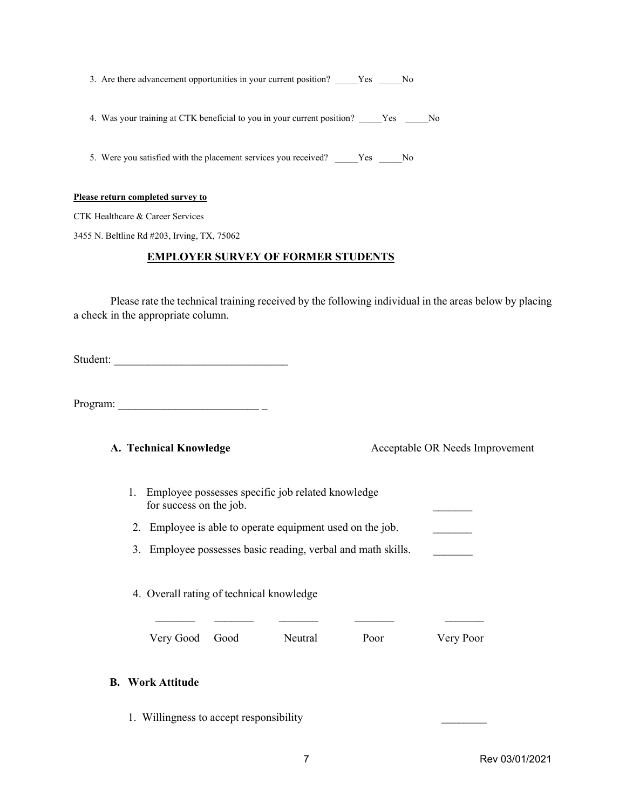3. Are there advancement opportunities in your current position? \_\_\_\_\_Yes \_\_\_\_\_No

4. Was your training at CTK beneficial to you in your current position? \_\_\_\_\_Yes \_\_\_\_\_No

5. Were you satisfied with the placement services you received? \_\_\_\_\_Yes \_\_\_\_\_No

#### **Please return completed survey to**

CTK Healthcare & Career Services

3455 N. Beltline Rd #203, Irving, TX, 75062

#### **EMPLOYER SURVEY OF FORMER STUDENTS**

Please rate the technical training received by the following individual in the areas below by placing a check in the appropriate column.

Student:

Program: \_\_\_\_\_\_\_\_\_\_\_\_\_\_\_\_\_\_\_\_\_\_\_\_\_ \_

**A. Technical Knowledge State Acceptable OR Needs Improvement** 

1. Employee possesses specific job related knowledge for success on the job.

2. Employee is able to operate equipment used on the job.

3. Employee possesses basic reading, verbal and math skills.

 $\frac{1}{2}$  ,  $\frac{1}{2}$  ,  $\frac{1}{2}$  ,  $\frac{1}{2}$  ,  $\frac{1}{2}$  ,  $\frac{1}{2}$  ,  $\frac{1}{2}$  ,  $\frac{1}{2}$  ,  $\frac{1}{2}$  ,  $\frac{1}{2}$  ,  $\frac{1}{2}$  ,  $\frac{1}{2}$  ,  $\frac{1}{2}$  ,  $\frac{1}{2}$  ,  $\frac{1}{2}$  ,  $\frac{1}{2}$  ,  $\frac{1}{2}$  ,  $\frac{1}{2}$  ,  $\frac{1$ 

4. Overall rating of technical knowledge

Very Good Good Neutral Poor Very Poor

#### **B. Work Attitude**

1. Willingness to accept responsibility